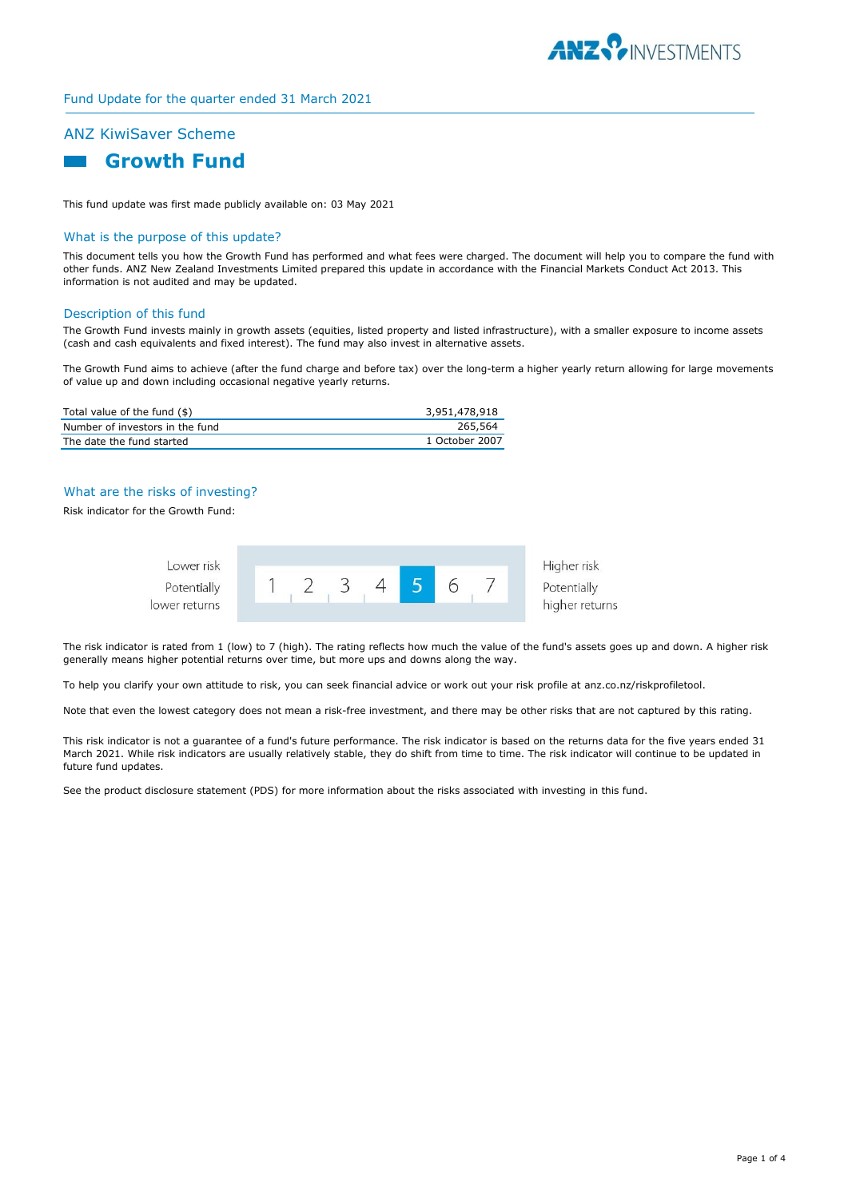

### Fund Update for the quarter ended 31 March 2021

# ANZ KiwiSaver Scheme



This fund update was first made publicly available on: 03 May 2021

### What is the purpose of this update?

This document tells you how the Growth Fund has performed and what fees were charged. The document will help you to compare the fund with other funds. ANZ New Zealand Investments Limited prepared this update in accordance with the Financial Markets Conduct Act 2013. This information is not audited and may be updated.

#### Description of this fund

The Growth Fund invests mainly in growth assets (equities, listed property and listed infrastructure), with a smaller exposure to income assets (cash and cash equivalents and fixed interest). The fund may also invest in alternative assets.

The Growth Fund aims to achieve (after the fund charge and before tax) over the long-term a higher yearly return allowing for large movements of value up and down including occasional negative yearly returns.

| Total value of the fund (\$)    | 3,951,478,918  |
|---------------------------------|----------------|
| Number of investors in the fund | 265,564        |
| The date the fund started       | 1 October 2007 |

# What are the risks of investing?

Risk indicator for the Growth Fund:



The risk indicator is rated from 1 (low) to 7 (high). The rating reflects how much the value of the fund's assets goes up and down. A higher risk generally means higher potential returns over time, but more ups and downs along the way.

To help you clarify your own attitude to risk, you can seek financial advice or work out your risk profile at anz.co.nz/riskprofiletool.

Note that even the lowest category does not mean a risk-free investment, and there may be other risks that are not captured by this rating.

This risk indicator is not a guarantee of a fund's future performance. The risk indicator is based on the returns data for the five years ended 31 March 2021. While risk indicators are usually relatively stable, they do shift from time to time. The risk indicator will continue to be updated in future fund updates.

See the product disclosure statement (PDS) for more information about the risks associated with investing in this fund.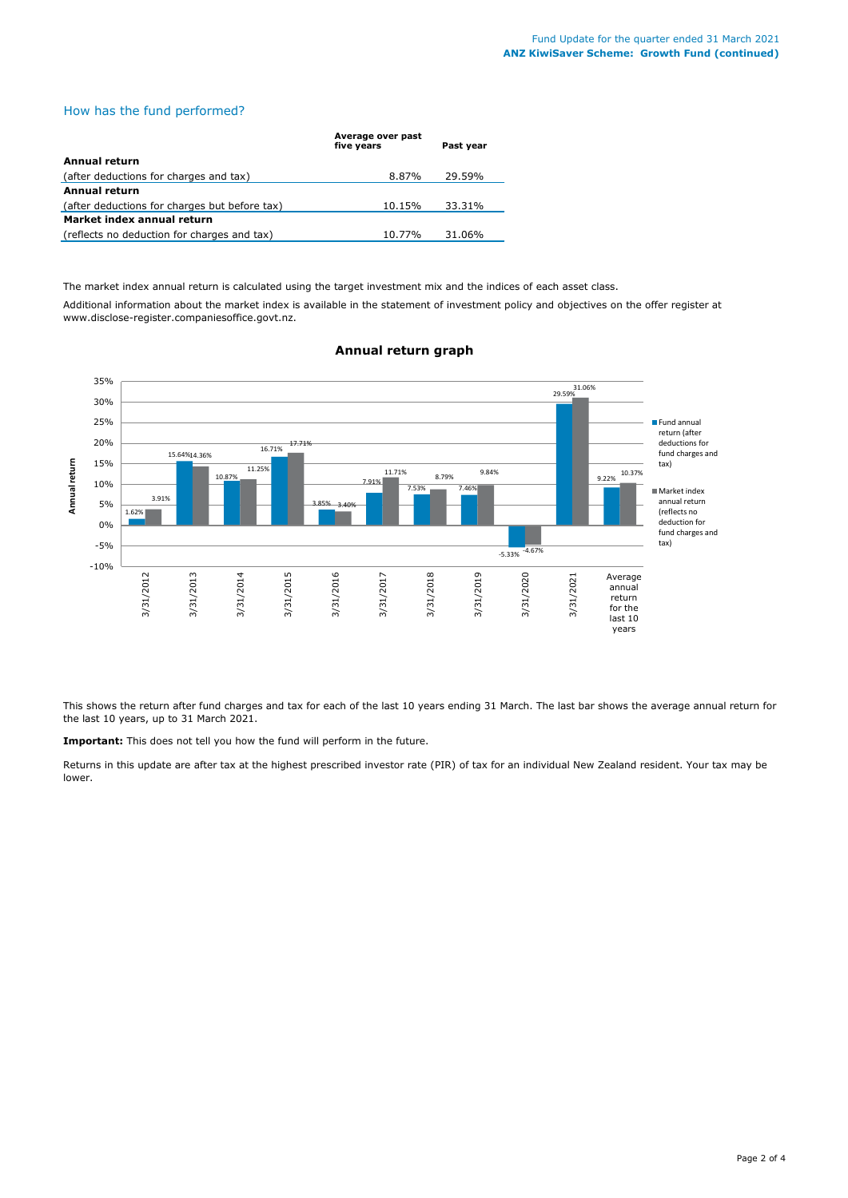# How has the fund performed?

|                                               | Average over past<br>five years | Past year |
|-----------------------------------------------|---------------------------------|-----------|
| Annual return                                 |                                 |           |
| (after deductions for charges and tax)        | 8.87%                           | 29.59%    |
| <b>Annual return</b>                          |                                 |           |
| (after deductions for charges but before tax) | 10.15%                          | 33.31%    |
| Market index annual return                    |                                 |           |
| (reflects no deduction for charges and tax)   | 10.77%                          | 31.06%    |

The market index annual return is calculated using the target investment mix and the indices of each asset class.

Additional information about the market index is available in the statement of investment policy and objectives on the offer register at www.disclose-register.companiesoffice.govt.nz.



# **Annual return graph**

This shows the return after fund charges and tax for each of the last 10 years ending 31 March. The last bar shows the average annual return for the last 10 years, up to 31 March 2021.

**Important:** This does not tell you how the fund will perform in the future.

Returns in this update are after tax at the highest prescribed investor rate (PIR) of tax for an individual New Zealand resident. Your tax may be lower.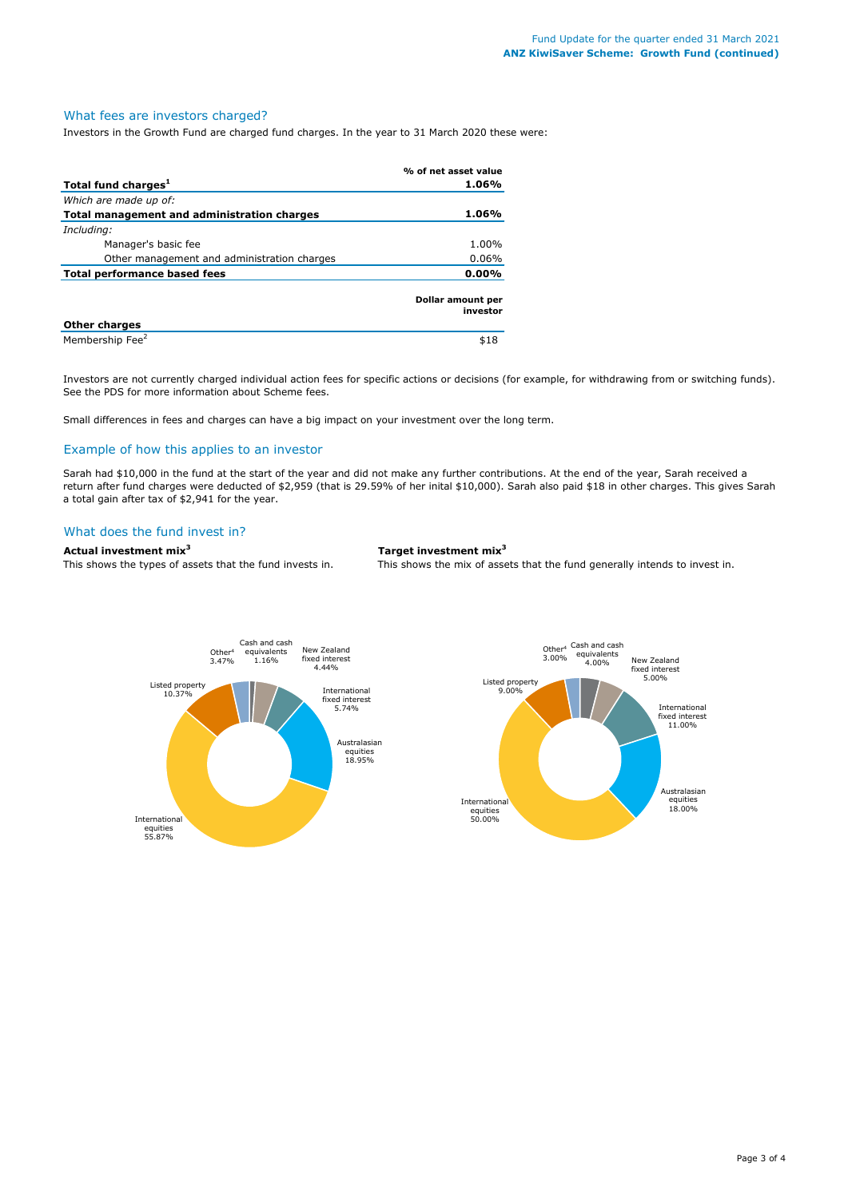#### What fees are investors charged?

Investors in the Growth Fund are charged fund charges. In the year to 31 March 2020 these were:

|                                             | % of net asset value          |
|---------------------------------------------|-------------------------------|
| Total fund charges <sup>1</sup>             | 1.06%                         |
| Which are made up of:                       |                               |
| Total management and administration charges | 1.06%                         |
| Including:                                  |                               |
| Manager's basic fee                         | 1.00%                         |
| Other management and administration charges | $0.06\%$                      |
| Total performance based fees                | $0.00\%$                      |
|                                             | Dollar amount per<br>investor |
| <b>Other charges</b>                        |                               |
| Membership Fee <sup>2</sup>                 | \$18                          |

Investors are not currently charged individual action fees for specific actions or decisions (for example, for withdrawing from or switching funds). See the PDS for more information about Scheme fees.

Small differences in fees and charges can have a big impact on your investment over the long term.

#### Example of how this applies to an investor

Sarah had \$10,000 in the fund at the start of the year and did not make any further contributions. At the end of the year, Sarah received a return after fund charges were deducted of \$2,959 (that is 29.59% of her inital \$10,000). Sarah also paid \$18 in other charges. This gives Sarah a total gain after tax of \$2,941 for the year.

#### What does the fund invest in?

# **Actual investment mix<sup>3</sup> Target investment mix<sup>3</sup>**

This shows the types of assets that the fund invests in. This shows the mix of assets that the fund generally intends to invest in.